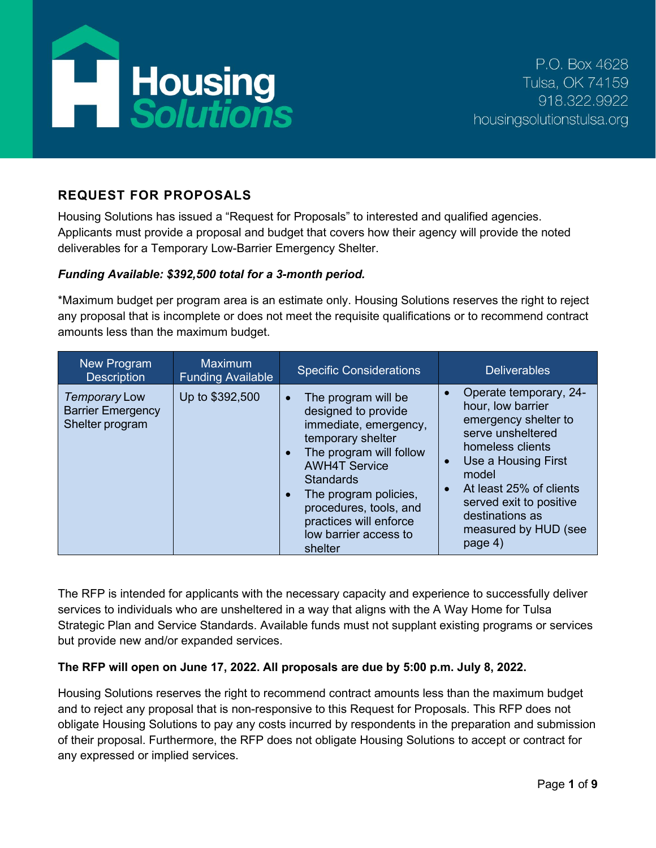

# **REQUEST FOR PROPOSALS**

Housing Solutions has issued a "Request for Proposals" to interested and qualified agencies. Applicants must provide a proposal and budget that covers how their agency will provide the noted deliverables for a Temporary Low-Barrier Emergency Shelter.

### *Funding Available: \$392,500 total for a 3-month period.*

\*Maximum budget per program area is an estimate only. Housing Solutions reserves the right to reject any proposal that is incomplete or does not meet the requisite qualifications or to recommend contract amounts less than the maximum budget.

| New Program<br><b>Description</b>                                   | <b>Maximum</b><br><b>Funding Available</b> | <b>Specific Considerations</b>                                                                                                                                                                                                                                                                             | <b>Deliverables</b>                                                                                                                                                                                                                                                     |
|---------------------------------------------------------------------|--------------------------------------------|------------------------------------------------------------------------------------------------------------------------------------------------------------------------------------------------------------------------------------------------------------------------------------------------------------|-------------------------------------------------------------------------------------------------------------------------------------------------------------------------------------------------------------------------------------------------------------------------|
| <b>Temporary Low</b><br><b>Barrier Emergency</b><br>Shelter program | Up to \$392,500                            | The program will be<br>$\bullet$<br>designed to provide<br>immediate, emergency,<br>temporary shelter<br>The program will follow<br><b>AWH4T Service</b><br><b>Standards</b><br>The program policies,<br>$\bullet$<br>procedures, tools, and<br>practices will enforce<br>low barrier access to<br>shelter | Operate temporary, 24-<br>hour, low barrier<br>emergency shelter to<br>serve unsheltered<br>homeless clients<br>Use a Housing First<br>$\bullet$<br>model<br>At least 25% of clients<br>served exit to positive<br>destinations as<br>measured by HUD (see<br>page $4)$ |

The RFP is intended for applicants with the necessary capacity and experience to successfully deliver services to individuals who are unsheltered in a way that aligns with the A Way Home for Tulsa Strategic Plan and Service Standards. Available funds must not supplant existing programs or services but provide new and/or expanded services.

## **The RFP will open on June 17, 2022. All proposals are due by 5:00 p.m. July 8, 2022.**

Housing Solutions reserves the right to recommend contract amounts less than the maximum budget and to reject any proposal that is non-responsive to this Request for Proposals. This RFP does not obligate Housing Solutions to pay any costs incurred by respondents in the preparation and submission of their proposal. Furthermore, the RFP does not obligate Housing Solutions to accept or contract for any expressed or implied services.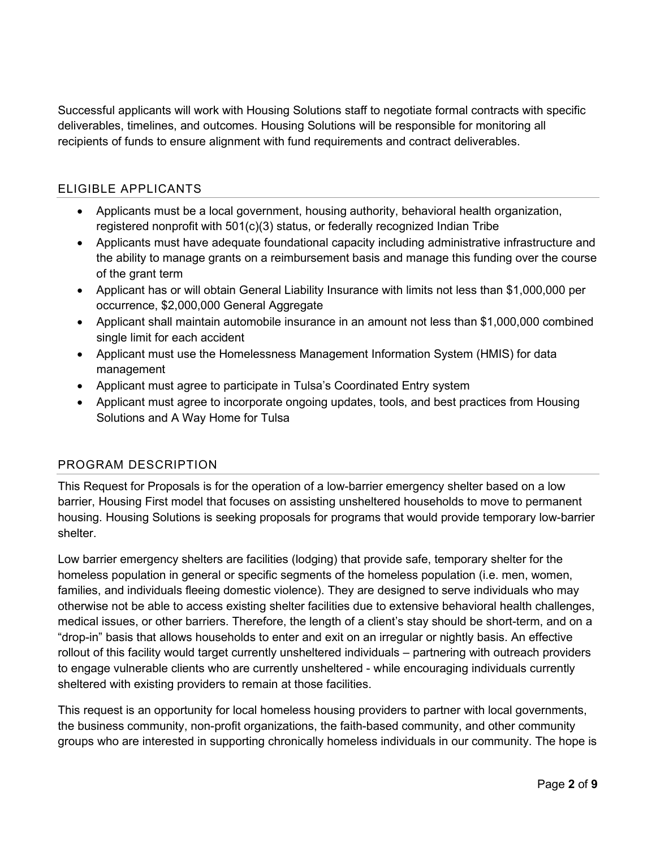Successful applicants will work with Housing Solutions staff to negotiate formal contracts with specific deliverables, timelines, and outcomes. Housing Solutions will be responsible for monitoring all recipients of funds to ensure alignment with fund requirements and contract deliverables.

## ELIGIBLE APPLICANTS

- Applicants must be a local government, housing authority, behavioral health organization, registered nonprofit with 501(c)(3) status, or federally recognized Indian Tribe
- Applicants must have adequate foundational capacity including administrative infrastructure and the ability to manage grants on a reimbursement basis and manage this funding over the course of the grant term
- Applicant has or will obtain General Liability Insurance with limits not less than \$1,000,000 per occurrence, \$2,000,000 General Aggregate
- Applicant shall maintain automobile insurance in an amount not less than \$1,000,000 combined single limit for each accident
- Applicant must use the Homelessness Management Information System (HMIS) for data management
- Applicant must agree to participate in Tulsa's Coordinated Entry system
- Applicant must agree to incorporate ongoing updates, tools, and best practices from Housing Solutions and A Way Home for Tulsa

## PROGRAM DESCRIPTION

This Request for Proposals is for the operation of a low-barrier emergency shelter based on a low barrier, Housing First model that focuses on assisting unsheltered households to move to permanent housing. Housing Solutions is seeking proposals for programs that would provide temporary low-barrier shelter.

Low barrier emergency shelters are facilities (lodging) that provide safe, temporary shelter for the homeless population in general or specific segments of the homeless population (i.e. men, women, families, and individuals fleeing domestic violence). They are designed to serve individuals who may otherwise not be able to access existing shelter facilities due to extensive behavioral health challenges, medical issues, or other barriers. Therefore, the length of a client's stay should be short-term, and on a "drop-in" basis that allows households to enter and exit on an irregular or nightly basis. An effective rollout of this facility would target currently unsheltered individuals – partnering with outreach providers to engage vulnerable clients who are currently unsheltered - while encouraging individuals currently sheltered with existing providers to remain at those facilities.

This request is an opportunity for local homeless housing providers to partner with local governments, the business community, non-profit organizations, the faith-based community, and other community groups who are interested in supporting chronically homeless individuals in our community. The hope is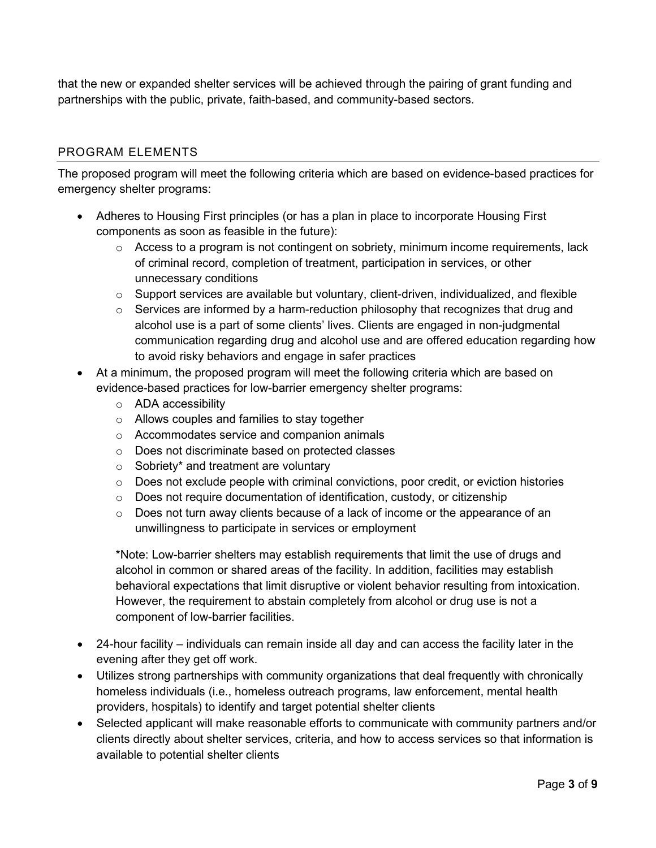that the new or expanded shelter services will be achieved through the pairing of grant funding and partnerships with the public, private, faith-based, and community-based sectors.

## PROGRAM ELEMENTS

The proposed program will meet the following criteria which are based on evidence-based practices for emergency shelter programs:

- Adheres to Housing First principles (or has a plan in place to incorporate Housing First components as soon as feasible in the future):
	- o Access to a program is not contingent on sobriety, minimum income requirements, lack of criminal record, completion of treatment, participation in services, or other unnecessary conditions
	- $\circ$  Support services are available but voluntary, client-driven, individualized, and flexible
	- $\circ$  Services are informed by a harm-reduction philosophy that recognizes that drug and alcohol use is a part of some clients' lives. Clients are engaged in non-judgmental communication regarding drug and alcohol use and are offered education regarding how to avoid risky behaviors and engage in safer practices
- At a minimum, the proposed program will meet the following criteria which are based on evidence-based practices for low-barrier emergency shelter programs:
	- o ADA accessibility
	- o Allows couples and families to stay together
	- o Accommodates service and companion animals
	- o Does not discriminate based on protected classes
	- o Sobriety\* and treatment are voluntary
	- $\circ$  Does not exclude people with criminal convictions, poor credit, or eviction histories
	- o Does not require documentation of identification, custody, or citizenship
	- $\circ$  Does not turn away clients because of a lack of income or the appearance of an unwillingness to participate in services or employment

\*Note: Low-barrier shelters may establish requirements that limit the use of drugs and alcohol in common or shared areas of the facility. In addition, facilities may establish behavioral expectations that limit disruptive or violent behavior resulting from intoxication. However, the requirement to abstain completely from alcohol or drug use is not a component of low-barrier facilities.

- 24-hour facility individuals can remain inside all day and can access the facility later in the evening after they get off work.
- Utilizes strong partnerships with community organizations that deal frequently with chronically homeless individuals (i.e., homeless outreach programs, law enforcement, mental health providers, hospitals) to identify and target potential shelter clients
- Selected applicant will make reasonable efforts to communicate with community partners and/or clients directly about shelter services, criteria, and how to access services so that information is available to potential shelter clients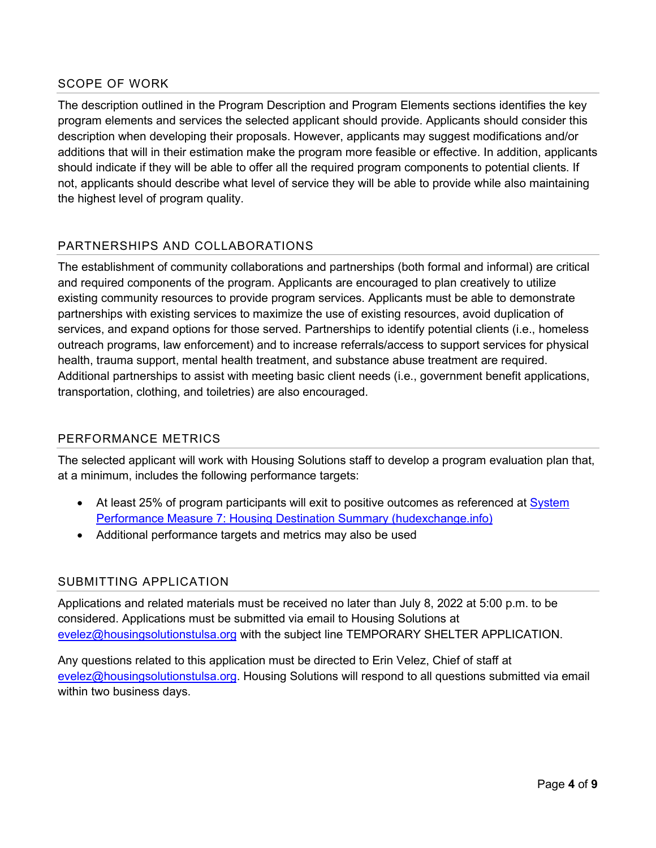#### SCOPE OF WORK

The description outlined in the Program Description and Program Elements sections identifies the key program elements and services the selected applicant should provide. Applicants should consider this description when developing their proposals. However, applicants may suggest modifications and/or additions that will in their estimation make the program more feasible or effective. In addition, applicants should indicate if they will be able to offer all the required program components to potential clients. If not, applicants should describe what level of service they will be able to provide while also maintaining the highest level of program quality.

## PARTNERSHIPS AND COLLABORATIONS

The establishment of community collaborations and partnerships (both formal and informal) are critical and required components of the program. Applicants are encouraged to plan creatively to utilize existing community resources to provide program services. Applicants must be able to demonstrate partnerships with existing services to maximize the use of existing resources, avoid duplication of services, and expand options for those served. Partnerships to identify potential clients (i.e., homeless outreach programs, law enforcement) and to increase referrals/access to support services for physical health, trauma support, mental health treatment, and substance abuse treatment are required. Additional partnerships to assist with meeting basic client needs (i.e., government benefit applications, transportation, clothing, and toiletries) are also encouraged.

#### PERFORMANCE METRICS

The selected applicant will work with Housing Solutions staff to develop a program evaluation plan that, at a minimum, includes the following performance targets:

- At least 25% of program participants will exit to positive outcomes as referenced at [System](https://files.hudexchange.info/resources/documents/System-Performance-Measure-7-Housing-Destination-Summary.pdf) [Performance Measure 7: Housing Destination Summary \(hudexchange.info\)](https://files.hudexchange.info/resources/documents/System-Performance-Measure-7-Housing-Destination-Summary.pdf)
- Additional performance targets and metrics may also be used

#### SUBMITTING APPLICATION

Applications and related materials must be received no later than July 8, 2022 at 5:00 p.m. to be considered. Applications must be submitted via email to Housing Solutions at [evelez@housingsolutionstulsa.org](mailto:evelez@housingsolutionstulsa.org) with the subject line TEMPORARY SHELTER APPLICATION.

Any questions related to this application must be directed to Erin Velez, Chief of staff at [evelez@housingsolutionstulsa.org.](mailto:evelez@housingsolutionstulsa.org) Housing Solutions will respond to all questions submitted via email within two business days.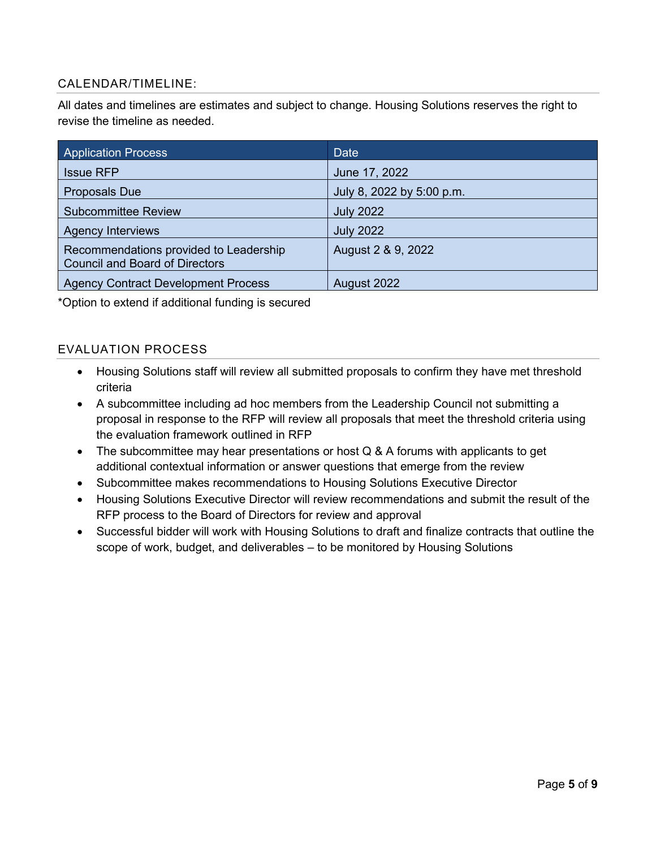### CALENDAR/TIMELINE:

All dates and timelines are estimates and subject to change. Housing Solutions reserves the right to revise the timeline as needed.

| <b>Application Process</b>                                                      | Date                      |
|---------------------------------------------------------------------------------|---------------------------|
| <b>Issue RFP</b>                                                                | June 17, 2022             |
| <b>Proposals Due</b>                                                            | July 8, 2022 by 5:00 p.m. |
| <b>Subcommittee Review</b>                                                      | <b>July 2022</b>          |
| <b>Agency Interviews</b>                                                        | <b>July 2022</b>          |
| Recommendations provided to Leadership<br><b>Council and Board of Directors</b> | August 2 & 9, 2022        |
| <b>Agency Contract Development Process</b>                                      | August 2022               |

\*Option to extend if additional funding is secured

### EVALUATION PROCESS

- Housing Solutions staff will review all submitted proposals to confirm they have met threshold criteria
- A subcommittee including ad hoc members from the Leadership Council not submitting a proposal in response to the RFP will review all proposals that meet the threshold criteria using the evaluation framework outlined in RFP
- The subcommittee may hear presentations or host Q & A forums with applicants to get additional contextual information or answer questions that emerge from the review
- Subcommittee makes recommendations to Housing Solutions Executive Director
- Housing Solutions Executive Director will review recommendations and submit the result of the RFP process to the Board of Directors for review and approval
- Successful bidder will work with Housing Solutions to draft and finalize contracts that outline the scope of work, budget, and deliverables – to be monitored by Housing Solutions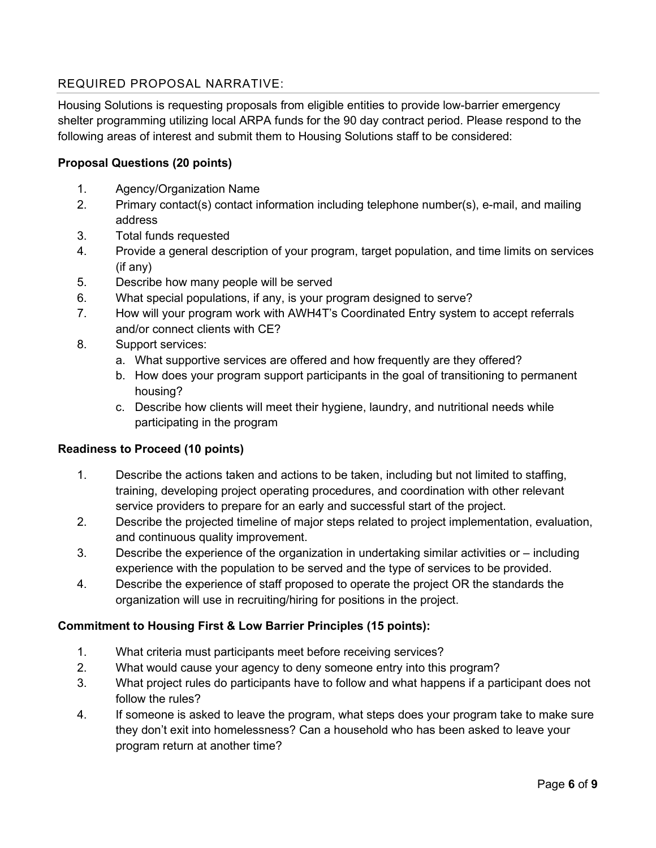## REQUIRED PROPOSAL NARRATIVE:

Housing Solutions is requesting proposals from eligible entities to provide low-barrier emergency shelter programming utilizing local ARPA funds for the 90 day contract period. Please respond to the following areas of interest and submit them to Housing Solutions staff to be considered:

## **Proposal Questions (20 points)**

- 1. Agency/Organization Name
- 2. Primary contact(s) contact information including telephone number(s), e-mail, and mailing address
- 3. Total funds requested
- 4. Provide a general description of your program, target population, and time limits on services (if any)
- 5. Describe how many people will be served
- 6. What special populations, if any, is your program designed to serve?
- 7. How will your program work with AWH4T's Coordinated Entry system to accept referrals and/or connect clients with CE?
- 8. Support services:
	- a. What supportive services are offered and how frequently are they offered?
	- b. How does your program support participants in the goal of transitioning to permanent housing?
	- c. Describe how clients will meet their hygiene, laundry, and nutritional needs while participating in the program

#### **Readiness to Proceed (10 points)**

- 1. Describe the actions taken and actions to be taken, including but not limited to staffing, training, developing project operating procedures, and coordination with other relevant service providers to prepare for an early and successful start of the project.
- 2. Describe the projected timeline of major steps related to project implementation, evaluation, and continuous quality improvement.
- 3. Describe the experience of the organization in undertaking similar activities or including experience with the population to be served and the type of services to be provided.
- 4. Describe the experience of staff proposed to operate the project OR the standards the organization will use in recruiting/hiring for positions in the project.

#### **Commitment to Housing First & Low Barrier Principles (15 points):**

- 1. What criteria must participants meet before receiving services?
- 2. What would cause your agency to deny someone entry into this program?
- 3. What project rules do participants have to follow and what happens if a participant does not follow the rules?
- 4. If someone is asked to leave the program, what steps does your program take to make sure they don't exit into homelessness? Can a household who has been asked to leave your program return at another time?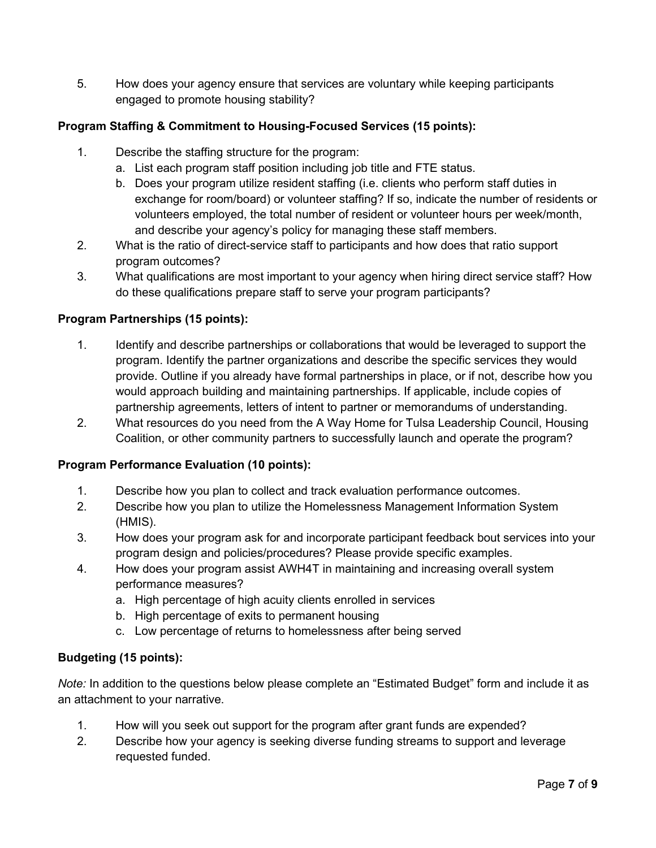5. How does your agency ensure that services are voluntary while keeping participants engaged to promote housing stability?

## **Program Staffing & Commitment to Housing-Focused Services (15 points):**

- 1. Describe the staffing structure for the program:
	- a. List each program staff position including job title and FTE status.
	- b. Does your program utilize resident staffing (i.e. clients who perform staff duties in exchange for room/board) or volunteer staffing? If so, indicate the number of residents or volunteers employed, the total number of resident or volunteer hours per week/month, and describe your agency's policy for managing these staff members.
- 2. What is the ratio of direct-service staff to participants and how does that ratio support program outcomes?
- 3. What qualifications are most important to your agency when hiring direct service staff? How do these qualifications prepare staff to serve your program participants?

### **Program Partnerships (15 points):**

- 1. Identify and describe partnerships or collaborations that would be leveraged to support the program. Identify the partner organizations and describe the specific services they would provide. Outline if you already have formal partnerships in place, or if not, describe how you would approach building and maintaining partnerships. If applicable, include copies of partnership agreements, letters of intent to partner or memorandums of understanding.
- 2. What resources do you need from the A Way Home for Tulsa Leadership Council, Housing Coalition, or other community partners to successfully launch and operate the program?

#### **Program Performance Evaluation (10 points):**

- 1. Describe how you plan to collect and track evaluation performance outcomes.
- 2. Describe how you plan to utilize the Homelessness Management Information System (HMIS).
- 3. How does your program ask for and incorporate participant feedback bout services into your program design and policies/procedures? Please provide specific examples.
- 4. How does your program assist AWH4T in maintaining and increasing overall system performance measures?
	- a. High percentage of high acuity clients enrolled in services
	- b. High percentage of exits to permanent housing
	- c. Low percentage of returns to homelessness after being served

#### **Budgeting (15 points):**

*Note:* In addition to the questions below please complete an "Estimated Budget" form and include it as an attachment to your narrative.

- 1. How will you seek out support for the program after grant funds are expended?
- 2. Describe how your agency is seeking diverse funding streams to support and leverage requested funded.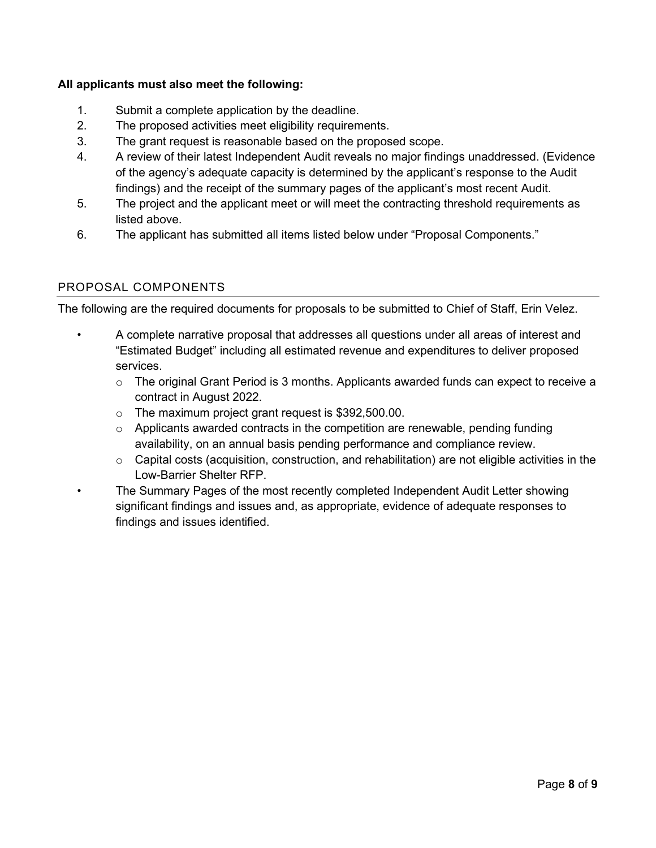### **All applicants must also meet the following:**

- 1. Submit a complete application by the deadline.
- 2. The proposed activities meet eligibility requirements.
- 3. The grant request is reasonable based on the proposed scope.
- 4. A review of their latest Independent Audit reveals no major findings unaddressed. (Evidence of the agency's adequate capacity is determined by the applicant's response to the Audit findings) and the receipt of the summary pages of the applicant's most recent Audit.
- 5. The project and the applicant meet or will meet the contracting threshold requirements as listed above.
- 6. The applicant has submitted all items listed below under "Proposal Components."

#### PROPOSAL COMPONENTS

The following are the required documents for proposals to be submitted to Chief of Staff, Erin Velez.

- A complete narrative proposal that addresses all questions under all areas of interest and "Estimated Budget" including all estimated revenue and expenditures to deliver proposed services.
	- $\circ$  The original Grant Period is 3 months. Applicants awarded funds can expect to receive a contract in August 2022.
	- o The maximum project grant request is \$392,500.00.
	- $\circ$  Applicants awarded contracts in the competition are renewable, pending funding availability, on an annual basis pending performance and compliance review.
	- o Capital costs (acquisition, construction, and rehabilitation) are not eligible activities in the Low-Barrier Shelter RFP.
	- The Summary Pages of the most recently completed Independent Audit Letter showing significant findings and issues and, as appropriate, evidence of adequate responses to findings and issues identified.